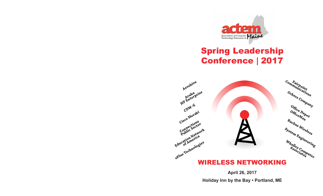

# Spring Leadership Conference **|** 2017



**April 26, 2017 Holiday Inn by the Bay • Portland, ME**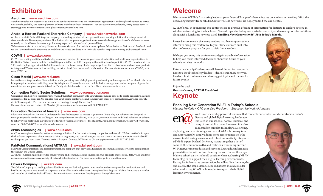## **Exhibitors**

#### **Aerohive | www.aerohive.com**

Aerohive enables our customers to simply and confidently connect to the information, applications, and insights they need to thrive. Our simple, scalable, and secure platform delivers mobility without limitations. For our customers worldwide, every access point is starting point. For more information, please visit www.aerohive.com.

#### **Aruba, a Hewlett Packard Enterprise Company | www.arubanetworks.com**

Aruba, a Hewlett Packard Enterprise company, is a leading provider of next-generation networking solutions for enterprises of all sizes worldwide. The company delivers IT solutions that empower organizations to serve the latest generation of mobile-savvy users who rely on cloud-based business apps for every aspect of their work and personal lives.

To learn more, visit Aruba at http://www.arubanetworks.com. For real-time news updates follow Aruba on Twitter and Facebook, and for the latest technical discussions on mobility and Aruba products visit Airheads Social at http://community.arubanetworks.com.

#### **CDW-G | www.cdwg.com**

CDW-G is a leading multi-brand technology solutions provider to business, government, education and healthcare organizations in the United States, Canada and the United Kingdom. A Fortune 500 company with multinational capabilities, CDW-G was founded in 1984 and employs approximately 8,500 coworkers. Our broad array of offerings range from discrete hardware and software products to integrated IT solutions such as mobility, security, cloud, data center and collaboration. For more information about CDW-G, visit www.CDW.com.

#### **Cisco Meraki | www.meraki.com**

Meraki is an enterprise-class Cisco solution, while providing ease of deployment, provisioning and management. The Meraki platform brings together wireless, switching, security, telephony, IP surveillance, and mobile device management under one pane of glass. For more information, please contact Sarah de Tuboly at sdetubol@cisco.com or Curt Owen at cuowen@cisco.com

#### **Connection Public Sector Solutions | www.govconnection.com**

Connection can help you seamlessly integrate all the latest technology into your classrooms and schools to create productive learning experiences for all students. We can also help you become comfortable and familiar with these new technologies. Advance your students' learning with 21st century classroom technology through Connection! For more information contact Jill Mead at jill.meade@connection.com or call 603.213.0987

#### **Education Networks of America | www.ena.com**

Education Networks of America ® understands that the best path to success is your own. That's why our solutions are designed to meet your specific needs and challenges. Our comprehensive broadband, Wi-Fi/LAN, communication, and cloud solutions enable you to achieve your goals while allowing you to focus on what matters most—the students. For more information, please visit www.ena. com, call 603-836-4472, or email mwoodrow@ena.com

#### **ePlus Technologies | www.eplus.com**

At ePlus, we engineer transformative technology solutions for the most visionary companies in the world. With expertise built upon the hard-won experience of our master architects, engineers, and consultants, we see our clients' horizons and craft sustainable IT roadmaps to get them there. Then we make it happen. Contact Jeff Mann at JMann@eplus.com or call 207.332.3520.

#### **FairPoint Communications| ADTRAN | www.fairpoint.com**

FairPoint Communications is a telecommunications company that provides a full range of communications services to communities throughout the United States.

ADTRAN - A leading global provider of networking and communications equipment. Our products enable voice, data, video and Internet communications across a variety of network infrastructures. For more information go to www.adtran.com

#### **Ockers Company | ockers.com**

The Ockers Company is a leading value-added Information Technology solutions reseller and service provider to educational and healthcare organizations as well as corporate and small to medium business throughout New England. Ockers Company is a reseller and installer of Hewlett Packard/Aruba. For more information contact Amy Dupuis at Amy@Ockers.com

## **Welcome**

Welcome to ACTEM's first spring leadership conference! This year's theme focuses on wireless networking. With the decreasing support from MLTI/DOE for wireless networks, we hope you find the day helpful.

ACTEM's goal in sponsoring this conference is to provide a forum of information for districts to explore options in wireless networking for their schools. General topics including erate, wireless security and many options for solutions along with a lunchtime keynote titled *Enabling Next Generation Wi-Fi in Today's Schools*.

Please be sure to visit the many vendors that have supported our efforts to bring this conference to you. Time slots are built into the conference program for you to visit these vendors.

We hope you enjoy this conference and gain valuable information to help you make informed decisions about the future of your school's wireless networks.

Future Leadership Conferences will have different focuses pertinent to school technology leaders. Please let us know how you liked our first conference and also suggest topics and themes for future events.

Enjoy the day! *Dennis Crowe, ACTEM President* **Keynote**

### **Enabling Next Generation Wi-Fi in Today's Schools**

*Michael McKerley, CTO and Vice President – Education Network of America*



Wi-Fi is an incredibly powerful resource that connects our students and educators to today's diverse and global digital learning landscape.

It is used in our schools, homes, libraries, and many of our public spaces. However, it is also an incredibly complex technology. Designing,

deploying, and maintaining a successful WLAN is no easy task and unfortunately, simply adding more access points isn't the answer to delivering seamless and robust connectivity. Respected Wi-Fi expert Michael McKerley has put together a list of some of the common myths and realities surrounding current Wi-Fi networking products and services. During his informative presentation, he will outline these myths and discuss the steps Maine's school districts should consider when evaluating WLAN technologies to support their digital learning environments. During his informative presentation, he will outline these myths and discuss the steps Maine's school districts should consider when evaluating WLAN technologies to support their digital learning environments.





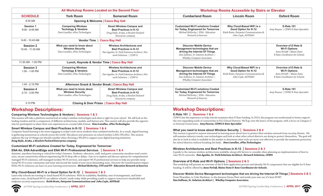|                                      | All Workshop Rooms Located on the Second Floor                                                   |                                                                                                                                                  | <b>Workshop Rooms Accessible by Stairs or Elevator</b>                                                                                                                            |                                                                                                                    |                                                                                                              |
|--------------------------------------|--------------------------------------------------------------------------------------------------|--------------------------------------------------------------------------------------------------------------------------------------------------|-----------------------------------------------------------------------------------------------------------------------------------------------------------------------------------|--------------------------------------------------------------------------------------------------------------------|--------------------------------------------------------------------------------------------------------------|
| <b>SCHEDULE</b>                      | <b>York Room</b>                                                                                 | <b>Somerset Room</b>                                                                                                                             | <b>Cumberland Room</b>                                                                                                                                                            | <b>Lincoln Room</b>                                                                                                | <b>Oxford Room</b>                                                                                           |
| 8:30 AM                              | <b>Opening &amp; Welcome   Casco Bay Hall</b>                                                    |                                                                                                                                                  |                                                                                                                                                                                   |                                                                                                                    |                                                                                                              |
| Session 1<br>$9:00 - 9:45 AM$        | <b>Comparing Wireless</b><br><b>Techology &amp; Vendors</b><br>Dave Lavallee, ePlus Technologies | <b>Smart Wireless Campus and</b><br><b>Best Practices in K-12</b><br>Doug Hyde, Aruba, a Hewlett Packard<br>Enterprise company                   | <b>Customized Wi-Fi solutions Created</b><br>for Today, Engineered for Tomorrow<br>Michael McKerley   ENA - Education<br>Network of America                                       | Why Cloud-Based WiFi is a<br>Good Option for K-12<br>Keith Brain, Fairpoint Communications &<br>John Coyle, ADTRAN | E-Rate 101<br>Amy Passow   CDWG E-Rate Specialist                                                            |
| $9:45 - 10:45$ AM                    | Vendor Time   Casco Bay Hall                                                                     |                                                                                                                                                  |                                                                                                                                                                                   |                                                                                                                    |                                                                                                              |
| <b>Session 2</b><br>10:45 - 11:30 AM | What you need to know about<br><b>Wireless Security</b><br>Dave Lavallee, ePlus Technologies     | <b>Wireless Architectures and</b><br><b>Best Practices in K-12</b><br>Dan Aguilar, Sr. Field Solutions Architect, Net-<br>work Solutions   CDW-G | <b>Discover Mobile Device</b><br>Management technologies that are<br>driving the Internet Of Things<br>Dan Sullivan, Sr. Solution Architect<br><b>Whalley Computer Associates</b> |                                                                                                                    | Overview of E-Rate &<br><b>Wi-Fi Options</b><br>Anne Perloff   Maine State<br>E-Rate Coordinator for Schools |
| 11:30 AM - 1:00 PM                   | Lunch, Keynote & Vendor Time   Casco Bay Hall                                                    |                                                                                                                                                  |                                                                                                                                                                                   |                                                                                                                    |                                                                                                              |
| <b>Session 3</b><br>1:00 - 1:45 PM   | <b>Comparing Wireless</b><br><b>Techology &amp; Vendors</b><br>Dave Lavallee, ePlus Technologies | <b>Wireless Architectures and</b><br><b>Best Practices in K-12</b><br>Dan Aguilar, Sr. Field Solutions Architect, Net-<br>work Solutions   CDW-G | <b>Discover Mobile Device</b><br>Management technologies that are<br>driving the Internet Of Things<br>Dan Sullivan, Sr. Solution Architect<br><b>Whalley Computer Associates</b> | Why Cloud-Based WiFi is a<br>Good Option for K-12<br>Keith Brain, Fairpoint Communications &<br>John Coyle, ADTRAN | Overview of E-Rate &<br><b>Wi-Fi Options</b><br>Anne Perloff   Maine State<br>E-Rate Coordinator for Schools |
| $1:45 - 2:15$ PM                     | Afternoon Snack & Vendor Break   Casco Bay Hall                                                  |                                                                                                                                                  |                                                                                                                                                                                   |                                                                                                                    |                                                                                                              |
| <b>Session 4</b><br>$2:15 - 3:00$ PM | What you need to know about<br><b>Wireless Security</b><br>Dave Lavallee, ePlus Technologies     | <b>Smart Wireless Campus and</b><br><b>Best Practices in K-12</b><br>Doug Hyde, Aruba, a Hewlett Packard<br>Enterprise company                   | <b>Customized Wi-Fi solutions Created</b><br>for Today, Engineered for Tomorrow<br>Michael McKerley   ENA - Education<br>Network of America                                       |                                                                                                                    | E-Rate 101<br>Amy Passow   CDWG E-Rate Specialist                                                            |
| 3:10 PM                              | <b>Closing &amp; Door Prizes   Casco Bay Hall</b>                                                |                                                                                                                                                  |                                                                                                                                                                                   |                                                                                                                    |                                                                                                              |

### **Workshop Descriptions:**

#### **Comparing Wireless Technologies & Vendors | Sessions 1 & 3**

This session will take a platform neutral look at today's wireless technologies and what is right for your school. We will look at the leading vendors and do a comparison of different architectures, models, and feature sets. This session will also provide the opportunity for participants to share their own experiences in a round-table format. *Dave Lavallee, ePlus Technologies*

#### **Smart Wireless Campus and Best Practices in K-12 | Sessions 1 & 4**

Computer-based learning is far more engaging to today's tech-savvy students than outdated textbooks. As a result, digital learning is gathering momentum in schools across the world. This places new pressures on school wireless LANs (WLANs). This session explores the top 10 things you should consider when choosing a WLAN to support your digital learning initiatives. *Doug Hyde, Aruba, a Hewlett Packard Enterprise company*

#### **Customized Wi-Fi solutions Created for Today, Engineered for Tomorrow:**

#### **ENA Air, ENA AdvantEdge and ENA Wi-Fi Professional Services | Sessions 1 & 4**

Anytime, anywhere learning is critical for today's learners. Students, educators, staff, and guest community members need continuous, secure connectivity without experiencing Wi-Fi drop offs or delays. Join us to explore and discuss options for comprehensive managed Wi-Fi solutions, self-managed turnkey Wi-FI services, and expert Wi-Fi professional services to help you provide exceptional Wi-Fi to your community and meet and exceed the needs of your most demanding users. Discover the transformative impact ENA's Wi-Fi solutions can have on your learning environment. *Michael McKerley, CTO and VP– Education Network of America*

#### **Why Cloud-Based Wi-Fi is a Good Option for K-12 | Sessions 1 & 3**

Learn why schools are turning to cloud-based Wi-Fi solutions. With its scalability, flexibility, ease of management, and lower upfront costs, cloud-based Wi-Fi can address schools' needs today while providing a path to support tomorrow's bandwidth and endpoint security requirements. *Keith Brain, Fairpoint Communications and John Coyle, ADTRAN*

### **Workshop Descriptions:**

#### **E-Rate 101 | Sessions 1 & 4**

CDW•G has the experience to help schools maximize their E-Rate funding. In 2014, the program was modernized to better support the ever expanding needs of connectivity in K12 School Districts. We'll go over the basics of the program, with a focus on Category 2 or Internal Connections. *Amy Passow, CDWG E-Rate Specialist*

#### **What you need to know about Wireless Security | Sessions 2 & 4**

This session is geared to anyone interested in learning more about how to protect their wireless network from security threats. We will examine industry trends, new technologies and look at what other school districts are doing to protect themselves. The goal will also be to look at what is available in the market to determine what tools are most cost-effective to provide the maximum protection for school districts without breaking the bank. *Dave Lavallee, ePlus Technologies*

#### **Wireless Architectures and Best Practices in K-12 | Sessions 2 & 3**

A guide to the various wireless architectures available, along with factors to consider when planning an implementation of best in class Wi-Fi networks. *Dan Aguilar, Sr. Field Solutions Architect, Network Solutions, CDWG*

#### **Overview of E-Rate and Wi-Fi Options | Sessions 2 & 3**

This workshop will present an overview of the E-Rate application process and identify Wi-Fi components that are eligible for E-Rate funding. It will be offered by *Anne Perloff, Maine State E-Rate Coordinator for Schools.*

#### **Discover Mobile Device Management technologies that are driving the Internet Of Things | Sessions 2 & 3**

From Wearables, to Coke Machines, to the Amazon Drone Fleet and inside your new car; it's here NOW! *Dan Sullivan, Sr. Solution Architect | Whalley Computer Associates*